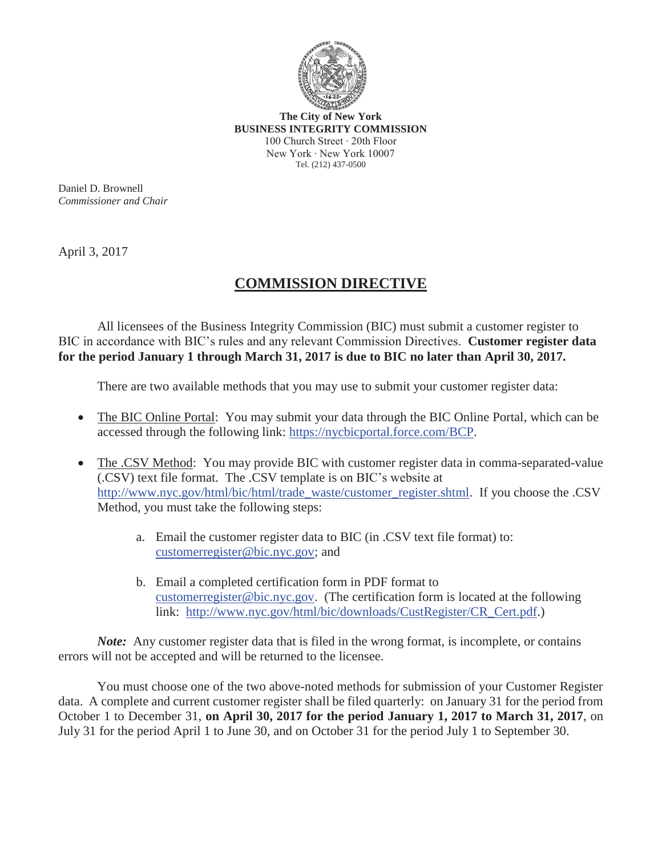

**The City of New York BUSINESS INTEGRITY COMMISSION**  100 Church Street ∙ 20th Floor New York ∙ New York 10007 Tel. (212) 437-0500

Daniel D. Brownell *Commissioner and Chair* 

April 3, 2017

## **COMMISSION DIRECTIVE**

All licensees of the Business Integrity Commission (BIC) must submit a customer register to BIC in accordance with BIC's rules and any relevant Commission Directives. **Customer register data for the period January 1 through March 31, 2017 is due to BIC no later than April 30, 2017.**

There are two available methods that you may use to submit your customer register data:

- The BIC Online Portal: You may submit your data through the BIC Online Portal, which can be accessed through the following link: https://nycbicportal.force.com/BCP.
- The .CSV Method: You may provide BIC with customer register data in comma-separated-value (.CSV) text file format. The .CSV template is on BIC's website at http://www.nyc.gov/html/bic/html/trade\_waste/customer\_register.shtml. If you choose the .CSV Method, you must take the following steps:
	- a. Email the customer register data to BIC (in .CSV text file format) to: customerregister@bic.nyc.gov; and
	- b. Email a completed certification form in PDF format to customerregister@bic.nyc.gov. (The certification form is located at the following link: http://www.nyc.gov/html/bic/downloads/CustRegister/CR\_Cert.pdf.)

*Note*: Any customer register data that is filed in the wrong format, is incomplete, or contains errors will not be accepted and will be returned to the licensee.

You must choose one of the two above-noted methods for submission of your Customer Register data. A complete and current customer register shall be filed quarterly: on January 31 for the period from October 1 to December 31, **on April 30, 2017 for the period January 1, 2017 to March 31, 2017**, on July 31 for the period April 1 to June 30, and on October 31 for the period July 1 to September 30.